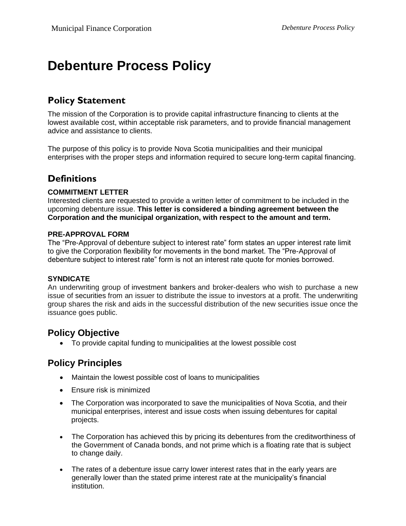# **Debenture Process Policy**

## **Policy Statement**

The mission of the Corporation is to provide capital infrastructure financing to clients at the lowest available cost, within acceptable risk parameters, and to provide financial management advice and assistance to clients.

The purpose of this policy is to provide Nova Scotia municipalities and their municipal enterprises with the proper steps and information required to secure long-term capital financing.

## **Definitions**

### **COMMITMENT LETTER**

Interested clients are requested to provide a written letter of commitment to be included in the upcoming debenture issue. **This letter is considered a binding agreement between the Corporation and the municipal organization, with respect to the amount and term.**

#### **PRE-APPROVAL FORM**

The "Pre-Approval of debenture subject to interest rate" form states an upper interest rate limit to give the Corporation flexibility for movements in the bond market. The "Pre-Approval of debenture subject to interest rate" form is not an interest rate quote for monies borrowed.

#### **SYNDICATE**

An underwriting group of investment bankers and broker-dealers who wish to purchase a new issue of securities from an issuer to distribute the issue to investors at a profit. The underwriting group shares the risk and aids in the successful distribution of the new securities issue once the issuance goes public.

### **Policy Objective**

• To provide capital funding to municipalities at the lowest possible cost

### **Policy Principles**

- Maintain the lowest possible cost of loans to municipalities
- Ensure risk is minimized
- The Corporation was incorporated to save the municipalities of Nova Scotia, and their municipal enterprises, interest and issue costs when issuing debentures for capital projects.
- The Corporation has achieved this by pricing its debentures from the creditworthiness of the Government of Canada bonds, and not prime which is a floating rate that is subject to change daily.
- The rates of a debenture issue carry lower interest rates that in the early years are generally lower than the stated prime interest rate at the municipality's financial institution.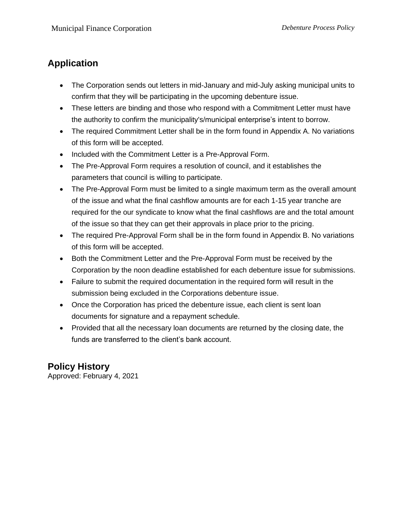## **Application**

- The Corporation sends out letters in mid-January and mid-July asking municipal units to confirm that they will be participating in the upcoming debenture issue.
- These letters are binding and those who respond with a Commitment Letter must have the authority to confirm the municipality's/municipal enterprise's intent to borrow.
- The required Commitment Letter shall be in the form found in Appendix A. No variations of this form will be accepted.
- Included with the Commitment Letter is a Pre-Approval Form.
- The Pre-Approval Form requires a resolution of council, and it establishes the parameters that council is willing to participate.
- The Pre-Approval Form must be limited to a single maximum term as the overall amount of the issue and what the final cashflow amounts are for each 1-15 year tranche are required for the our syndicate to know what the final cashflows are and the total amount of the issue so that they can get their approvals in place prior to the pricing.
- The required Pre-Approval Form shall be in the form found in Appendix B. No variations of this form will be accepted.
- Both the Commitment Letter and the Pre-Approval Form must be received by the Corporation by the noon deadline established for each debenture issue for submissions.
- Failure to submit the required documentation in the required form will result in the submission being excluded in the Corporations debenture issue.
- Once the Corporation has priced the debenture issue, each client is sent loan documents for signature and a repayment schedule.
- Provided that all the necessary loan documents are returned by the closing date, the funds are transferred to the client's bank account.

## **Policy History**

Approved: February 4, 2021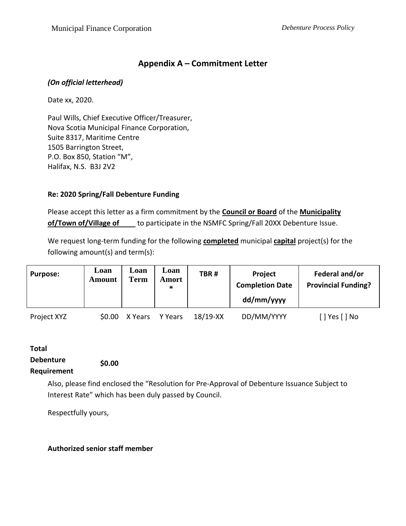### **Appendix A – Commitment Letter**

### *(On official letterhead)*

Date xx, 2020.

Paul Wills, Chief Executive Officer/Treasurer, Nova Scotia Municipal Finance Corporation, Suite 8317, Maritime Centre 1505 Barrington Street, P.O. Box 850, Station "M", Halifax, N.S. B3J 2V2

### **Re: 2020 Spring/Fall Debenture Funding**

Please accept this letter as a firm commitment by the **Council or Board** of the **Municipality of/Town of/Village of** to participate in the NSMFC Spring/Fall 20XX Debenture Issue.

We request long-term funding for the following **completed** municipal **capital** project(s) for the following amount(s) and term(s):

| <b>Purpose:</b> | Loan<br><b>Amount</b> | Loan<br><b>Term</b> | Loan<br>Amort<br>∗ | TBR#       | Project<br><b>Completion Date</b><br>dd/mm/yyyy | Federal and/or<br><b>Provincial Funding?</b> |
|-----------------|-----------------------|---------------------|--------------------|------------|-------------------------------------------------|----------------------------------------------|
| Project XYZ     | \$0.00                | X Years             | Y Years            | $18/19-XX$ | DD/MM/YYYY                                      | Yes [ ] No                                   |

#### **Total Debenture Requirement \$0.00**

Also, please find enclosed the "Resolution for Pre-Approval of Debenture Issuance Subject to Interest Rate" which has been duly passed by Council.

Respectfully yours,

### **Authorized senior staff member**